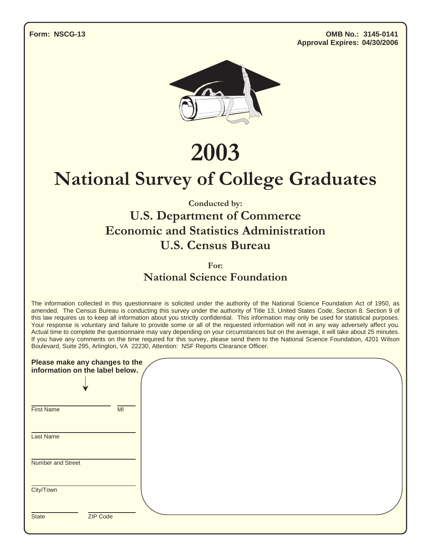**Form: NSCG-13 OMB No.: 3145-0141 Approval Expires: 04/30/2006**



2003

# **National Survey of College Graduates**

Conducted by:

### **U.S. Department of Commerce Economic and Statistics Administration** U.S. Census Bureau

For:

National Science Foundation

The information collected in this questionnaire is solicited under the authority of the National Science Foundation Act of 1950, as amended. The Census Bureau is conducting this survey under the authority of Title 13, United States Code, Section 8. Section 9 of this law requires us to keep all information about you strictly confidential. This information may only be used for statistical purposes. Your response is voluntary and failure to provide some or all of the requested information will not in any way adversely affect you. Actual time to complete the questionnaire may vary depending on your circumstances but on the average, it will take about 25 minutes. If you have any comments on the time required for this survey, please send them to the National Science Foundation, 4201 Wilson Boulevard, Suite 295, Arlington, VA 22230, Attention: NSF Reports Clearance Officer.

| Please make any changes to the<br>information on the label below. |    |
|-------------------------------------------------------------------|----|
| <b>First Name</b>                                                 | MI |
| <b>Last Name</b>                                                  |    |
| Number and Street                                                 |    |
| City/Town                                                         |    |
| ZIP Code<br><b>State</b>                                          |    |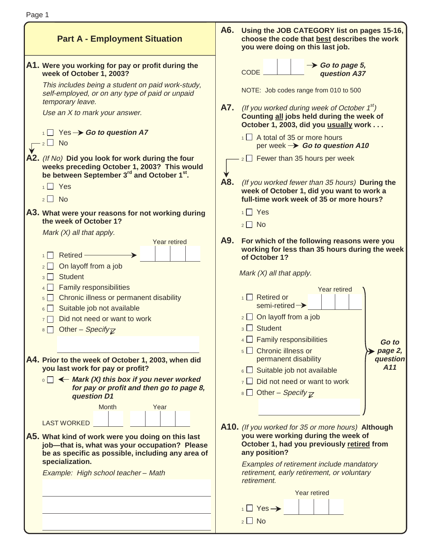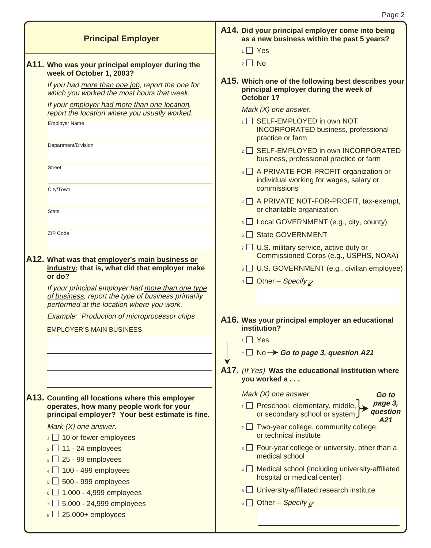| <b>Principal Employer</b>                                                                                                                                                                                                                                          | A14. Did your principal employer come into being<br>as a new business within the past 5 years?<br>$1 \square$ Yes |
|--------------------------------------------------------------------------------------------------------------------------------------------------------------------------------------------------------------------------------------------------------------------|-------------------------------------------------------------------------------------------------------------------|
| A11. Who was your principal employer during the<br>week of October 1, 2003?                                                                                                                                                                                        | $2 \Box$ No                                                                                                       |
| If you had more than one job, report the one for<br>which you worked the most hours that week.                                                                                                                                                                     | A15. Which one of the following best describes your<br>principal employer during the week of<br>October 1?        |
| If your employer had more than one location,<br>report the location where you usually worked.                                                                                                                                                                      | Mark $(X)$ one answer.                                                                                            |
| <b>Employer Name</b>                                                                                                                                                                                                                                               | 1 SELF-EMPLOYED in own NOT<br><b>INCORPORATED business, professional</b><br>practice or farm                      |
| Department/Division                                                                                                                                                                                                                                                | 2 SELF-EMPLOYED in own INCORPORATED<br>business, professional practice or farm                                    |
| <b>Street</b><br>City/Town                                                                                                                                                                                                                                         | 3 A PRIVATE FOR-PROFIT organization or<br>individual working for wages, salary or<br>commissions                  |
| <b>State</b>                                                                                                                                                                                                                                                       | 4 A PRIVATE NOT-FOR-PROFIT, tax-exempt,<br>or charitable organization                                             |
|                                                                                                                                                                                                                                                                    | $\overline{\phantom{a}}$ Local GOVERNMENT (e.g., city, county)                                                    |
| ZIP Code                                                                                                                                                                                                                                                           | 6 State GOVERNMENT                                                                                                |
|                                                                                                                                                                                                                                                                    | $\overline{7}$ U.S. military service, active duty or<br>Commissioned Corps (e.g., USPHS, NOAA)                    |
| A12. What was that employer's main business or<br>industry; that is, what did that employer make<br>or do?<br>If your principal employer had more than one type<br>of business, report the type of business primarily<br>performed at the location where you work. | 8 U.S. GOVERNMENT (e.g., civilian employee)<br><b>9</b> Other – Specify <sub><math>\overline{z}</math></sub>      |
| Example: Production of microprocessor chips<br><b>EMPLOYER'S MAIN BUSINESS</b>                                                                                                                                                                                     | A16. Was your principal employer an educational<br>institution?                                                   |
|                                                                                                                                                                                                                                                                    | $\Box$ Yes<br>1                                                                                                   |
|                                                                                                                                                                                                                                                                    | $_2 \Box$ No $\rightarrow$ Go to page 3, question A21                                                             |
|                                                                                                                                                                                                                                                                    | A17. (If Yes) Was the educational institution where<br>you worked a                                               |
| A13. Counting all locations where this employer                                                                                                                                                                                                                    | Mark $(X)$ one answer.<br>Go to                                                                                   |
| operates, how many people work for your<br>principal employer? Your best estimate is fine.                                                                                                                                                                         | page 3,<br>$\overline{1}$ Preschool, elementary, middle,<br>question<br>or secondary school or system J<br>A21    |
| Mark $(X)$ one answer.<br>$\frac{1}{1}$ 10 or fewer employees                                                                                                                                                                                                      | $\frac{1}{2}$ Two-year college, community college,<br>or technical institute                                      |
| $2$ 11 - 24 employees<br>$3\Box$ 25 - 99 employees                                                                                                                                                                                                                 | $\overline{\mathbf{a}}$ $\Box$ Four-year college or university, other than a<br>medical school                    |
| $4 \square$ 100 - 499 employees<br>$5\Box$ 500 - 999 employees                                                                                                                                                                                                     | 4 Medical school (including university-affiliated<br>hospital or medical center)                                  |
| $6 \Box$ 1,000 - 4,999 employees                                                                                                                                                                                                                                   | $\overline{\phantom{a}}$ University-affiliated research institute                                                 |
| $\sqrt{2}$ 5,000 - 24,999 employees<br>$8 \square 25,000+$ employees                                                                                                                                                                                               | 6 Other – Specify $\overline{z}$                                                                                  |
|                                                                                                                                                                                                                                                                    |                                                                                                                   |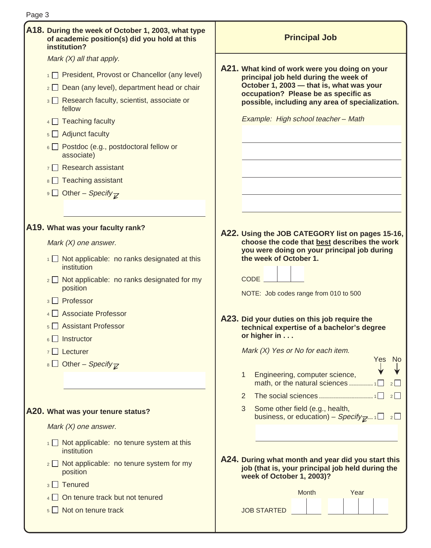| Page 3 |                                                                                                                    |                                                                                                                                     |
|--------|--------------------------------------------------------------------------------------------------------------------|-------------------------------------------------------------------------------------------------------------------------------------|
|        | A18. During the week of October 1, 2003, what type<br>of academic position(s) did you hold at this<br>institution? | <b>Principal Job</b>                                                                                                                |
|        | Mark $(X)$ all that apply.                                                                                         |                                                                                                                                     |
|        | 1 President, Provost or Chancellor (any level)                                                                     | A21. What kind of work were you doing on your<br>principal job held during the week of                                              |
|        | $\frac{1}{2}$ Dean (any level), department head or chair                                                           | October 1, 2003 - that is, what was your<br>occupation? Please be as specific as                                                    |
|        | 3 Research faculty, scientist, associate or<br>fellow                                                              | possible, including any area of specialization.                                                                                     |
|        | $4 \Box$ Teaching faculty                                                                                          | Example: High school teacher - Math                                                                                                 |
|        | $\overline{\phantom{a}}$ Adjunct faculty                                                                           |                                                                                                                                     |
|        | $\circ$ Postdoc (e.g., postdoctoral fellow or<br>associate)                                                        |                                                                                                                                     |
|        | $7 \square$ Research assistant                                                                                     |                                                                                                                                     |
|        | $\frac{1}{8}$ Teaching assistant                                                                                   |                                                                                                                                     |
|        | <b>9</b> Other – Specify <sub><math>\overline{z}</math></sub>                                                      |                                                                                                                                     |
|        |                                                                                                                    |                                                                                                                                     |
|        | A19. What was your faculty rank?                                                                                   | A22. Using the JOB CATEGORY list on pages 15-16,                                                                                    |
|        | Mark $(X)$ one answer.                                                                                             | choose the code that best describes the work<br>you were doing on your principal job during                                         |
|        | $\frac{1}{1}$ Not applicable: no ranks designated at this<br>institution                                           | the week of October 1.                                                                                                              |
|        | $\frac{1}{2}$ Not applicable: no ranks designated for my<br>position                                               | <b>CODE</b><br>NOTE: Job codes range from 010 to 500                                                                                |
|        | 3 Professor                                                                                                        |                                                                                                                                     |
|        | 4 Associate Professor                                                                                              |                                                                                                                                     |
|        | 5 Assistant Professor                                                                                              | A23. Did your duties on this job require the<br>technical expertise of a bachelor's degree                                          |
|        | $6 \Box$ Instructor                                                                                                | or higher in                                                                                                                        |
|        | $7 \Box$ Lecturer                                                                                                  | Mark (X) Yes or No for each item.                                                                                                   |
|        | 8 Other – Specify $\overline{K}$                                                                                   | Yes<br>No.                                                                                                                          |
|        |                                                                                                                    | Engineering, computer science,<br>1<br>math, or the natural sciences 1<br>$2$                                                       |
|        |                                                                                                                    | 2<br>2                                                                                                                              |
|        | A20. What was your tenure status?                                                                                  | 3<br>Some other field (e.g., health,<br>business, or education) – Specify $\mathbb{Z}^{n+1}$ $\Box$ 2 $\Box$                        |
|        | Mark $(X)$ one answer.                                                                                             |                                                                                                                                     |
|        | $\frac{1}{1}$ Not applicable: no tenure system at this<br>institution                                              |                                                                                                                                     |
|        | $\frac{1}{2}$ Not applicable: no tenure system for my<br>position                                                  | A24. During what month and year did you start this<br>job (that is, your principal job held during the<br>week of October 1, 2003)? |
|        | $3$ $\Box$ Tenured                                                                                                 |                                                                                                                                     |
|        | $\frac{4}{4}$ On tenure track but not tenured                                                                      | Month<br>Year                                                                                                                       |
|        | $\overline{\phantom{a}}$ Not on tenure track                                                                       | <b>JOB STARTED</b>                                                                                                                  |
|        |                                                                                                                    |                                                                                                                                     |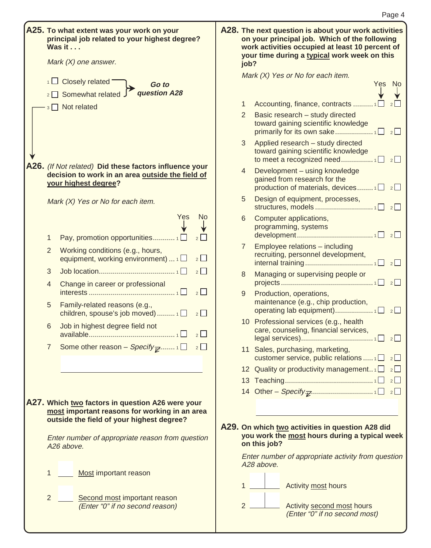|                     | principal job related to your highest degree?<br>Was it<br>Mark $(X)$ one answer.                                                              |                | on your principal job. Which of the following<br>work activities occupied at least 10 percent of<br>your time during a typical work week on this<br>job? |
|---------------------|------------------------------------------------------------------------------------------------------------------------------------------------|----------------|----------------------------------------------------------------------------------------------------------------------------------------------------------|
|                     | $\frac{1}{1}$ Closely related                                                                                                                  |                | Mark (X) Yes or No for each item.                                                                                                                        |
|                     | Go to<br>2 Somewhat related J question A28                                                                                                     |                | <b>No</b><br>Yes                                                                                                                                         |
|                     | 3 Not related                                                                                                                                  | 1              |                                                                                                                                                          |
|                     |                                                                                                                                                | $\overline{2}$ | Basic research - study directed<br>toward gaining scientific knowledge                                                                                   |
|                     |                                                                                                                                                | 3              | Applied research - study directed<br>toward gaining scientific knowledge                                                                                 |
|                     | A26. (If Not related) Did these factors influence your<br>decision to work in an area outside the field of<br>your highest degree?             | 4              | Development - using knowledge<br>gained from research for the<br>production of materials, devices $1 \square$ $2 \square$                                |
|                     | Mark (X) Yes or No for each item.                                                                                                              | 5              | Design of equipment, processes,                                                                                                                          |
|                     | Yes<br><b>No</b>                                                                                                                               | 6              | Computer applications,<br>programming, systems                                                                                                           |
| 1<br>$\overline{2}$ | 2<br>Working conditions (e.g., hours,<br>equipment, working environment) $\Box$<br>2                                                           | $\overline{7}$ | Employee relations - including<br>recruiting, personnel development,                                                                                     |
| 3                   | $2\Box$                                                                                                                                        |                |                                                                                                                                                          |
| 4                   | Change in career or professional<br>$2\Box$                                                                                                    | 8              | Managing or supervising people or                                                                                                                        |
| 5                   | Family-related reasons (e.g.,<br>$2\Box$<br>children, spouse's job moved) $1\Box$                                                              | 9              | Production, operations,<br>maintenance (e.g., chip production,                                                                                           |
| 6                   | Job in highest degree field not<br>2                                                                                                           |                | 10 Professional services (e.g., health<br>care, counseling, financial services,                                                                          |
| $\overline{7}$      | Some other reason - Specify $\overline{\mathcal{C}}$ 1 $\Box$ 2 $\Box$                                                                         |                | 11 Sales, purchasing, marketing,<br>customer service, public relations $1 \square$ $2 \square$                                                           |
|                     |                                                                                                                                                |                | 12 Quality or productivity management $\Box$ 2 $\Box$                                                                                                    |
|                     |                                                                                                                                                |                |                                                                                                                                                          |
|                     |                                                                                                                                                |                |                                                                                                                                                          |
|                     | A27. Which two factors in question A26 were your<br>most important reasons for working in an area<br>outside the field of your highest degree? |                | A29. On which two activities in question A28 did                                                                                                         |
|                     | Enter number of appropriate reason from question<br>A26 above.                                                                                 |                | you work the most hours during a typical week<br>on this job?                                                                                            |
| 1                   | Most important reason                                                                                                                          |                | Enter number of appropriate activity from question<br>A28 above.                                                                                         |
|                     |                                                                                                                                                | 1              | Activity most hours                                                                                                                                      |
| $\overline{2}$      | Second most important reason<br>(Enter "0" if no second reason)                                                                                |                | $2 -$<br>Activity second most hours                                                                                                                      |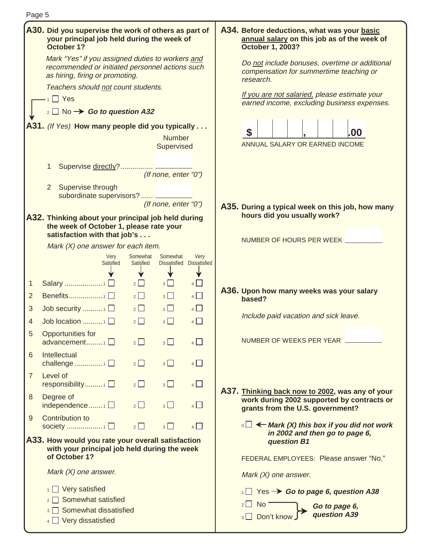| Page 5         |                                                                                                                                        |                       |                      |                                   |                                                                                                                                   |
|----------------|----------------------------------------------------------------------------------------------------------------------------------------|-----------------------|----------------------|-----------------------------------|-----------------------------------------------------------------------------------------------------------------------------------|
|                | A30. Did you supervise the work of others as part of<br>your principal job held during the week of<br>October 1?                       |                       |                      |                                   | A34. Before deductions, what was your basic<br>annual salary on this job as of the week of<br><b>October 1, 2003?</b>             |
|                | Mark "Yes" if you assigned duties to workers and<br>recommended or initiated personnel actions such<br>as hiring, firing or promoting. |                       |                      |                                   | Do not include bonuses, overtime or additional<br>compensation for summertime teaching or<br>research.                            |
|                | Teachers should not count students.                                                                                                    |                       |                      |                                   |                                                                                                                                   |
|                | $-1$ $\Box$ Yes                                                                                                                        |                       |                      |                                   | If you are not salaried, please estimate your<br>earned income, excluding business expenses.                                      |
|                | $_2$ No $\rightarrow$ Go to question A32                                                                                               |                       |                      |                                   |                                                                                                                                   |
|                | A31. (If Yes) How many people did you typically                                                                                        |                       |                      |                                   |                                                                                                                                   |
|                |                                                                                                                                        |                       | <b>Number</b>        |                                   | \$<br>.00                                                                                                                         |
|                |                                                                                                                                        |                       | Supervised           |                                   | ANNUAL SALARY OR EARNED INCOME                                                                                                    |
|                | Supervise directly?  __________<br>1                                                                                                   |                       | (If none, enter "0") |                                   |                                                                                                                                   |
|                | $\overline{2}$<br>Supervise through                                                                                                    |                       |                      |                                   |                                                                                                                                   |
|                | subordinate supervisors? ________                                                                                                      |                       |                      |                                   |                                                                                                                                   |
|                |                                                                                                                                        |                       | (If none, enter "0") |                                   | A35. During a typical week on this job, how many                                                                                  |
|                | A32. Thinking about your principal job held during<br>the week of October 1, please rate your                                          |                       |                      |                                   | hours did you usually work?                                                                                                       |
|                | satisfaction with that job's                                                                                                           |                       |                      |                                   |                                                                                                                                   |
|                | Mark (X) one answer for each item.                                                                                                     |                       |                      |                                   | NUMBER OF HOURS PER WEEK _________                                                                                                |
|                | <b>Very</b><br><b>Satisfied</b>                                                                                                        | Somewhat<br>Satisfied | Somewhat             | Very<br>Dissatisfied Dissatisfied |                                                                                                                                   |
| 1              | Salary 1□                                                                                                                              | $2\Box$               | $3\Box$              | 4                                 |                                                                                                                                   |
| $\overline{2}$ | Benefits1 □                                                                                                                            | $2\Box$               | $3\Box$              | $4\Box$                           | A36. Upon how many weeks was your salary                                                                                          |
| 3              | Job security $\Box$                                                                                                                    | $2\Box$               | $3\Box$              | $4\Box$                           | based?                                                                                                                            |
| 4              | Job location 1                                                                                                                         | $2\Box$               | $3\Box$              | $4\Box$                           | Include paid vacation and sick leave.                                                                                             |
|                | Opportunities for                                                                                                                      |                       |                      |                                   |                                                                                                                                   |
|                | advancement1                                                                                                                           | 2                     | 3                    | 4                                 | NUMBER OF WEEKS PER YEAR                                                                                                          |
| 6              | Intellectual<br>challenge 1 $\square$                                                                                                  | $2\Box$               | $3\Box$              | $4\Box$                           |                                                                                                                                   |
| $\overline{7}$ | Level of<br>responsibility $\Box$                                                                                                      | $2\Box$               | $3\Box$              | $4\Box$                           |                                                                                                                                   |
| $\,8\,$        | Degree of<br>independence $\Box$                                                                                                       | $2 \Box$              | 3                    | 4                                 | A37. Thinking back now to 2002, was any of your<br>work during 2002 supported by contracts or<br>grants from the U.S. government? |
| 9              | <b>Contribution to</b><br>society 1 □                                                                                                  | $2\Box$               | 3                    | $4$ $\Box$                        | $\overline{\mathcal{C}}$ $\rightarrow$ Mark (X) this box if you did not work                                                      |
|                | A33. How would you rate your overall satisfaction                                                                                      |                       |                      |                                   | in 2002 and then go to page 6,<br>question B1                                                                                     |
|                | with your principal job held during the week<br>of October 1?                                                                          |                       |                      |                                   | FEDERAL EMPLOYEES: Please answer "No."                                                                                            |
|                |                                                                                                                                        |                       |                      |                                   |                                                                                                                                   |
|                | Mark $(X)$ one answer.                                                                                                                 |                       |                      |                                   | Mark $(X)$ one answer.                                                                                                            |
|                | $\frac{1}{1}$ Very satisfied                                                                                                           |                       |                      |                                   | $\overline{AB}$ Yes $\rightarrow$ Go to page 6, question A38                                                                      |
|                | Somewhat satisfied<br>$2$                                                                                                              |                       |                      |                                   | $2 \cup$ No<br>Go to page 6,                                                                                                      |
|                | Somewhat dissatisfied<br>3 <sup>1</sup>                                                                                                |                       |                      |                                   | question A39<br>Don't know<br>$3 \mid$                                                                                            |
|                | $4 \Box$ Very dissatisfied                                                                                                             |                       |                      |                                   |                                                                                                                                   |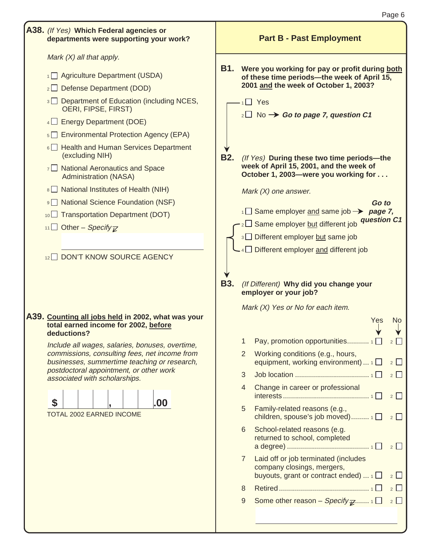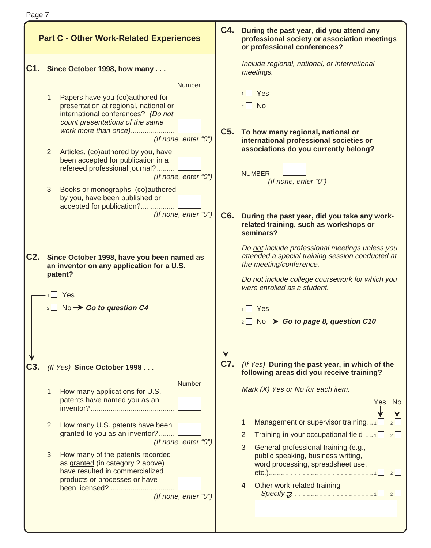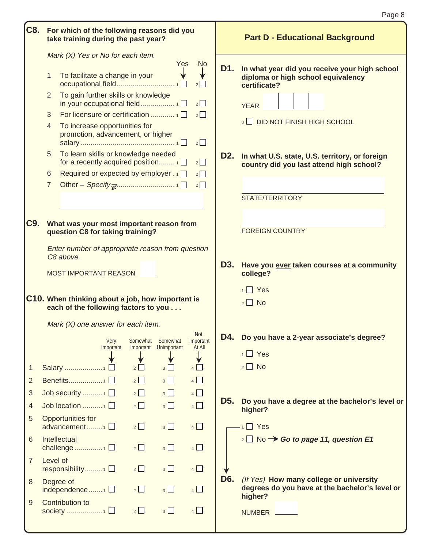|                |          |                                                                                          |                |                       |                         |                  | Page 8                                                                                     |
|----------------|----------|------------------------------------------------------------------------------------------|----------------|-----------------------|-------------------------|------------------|--------------------------------------------------------------------------------------------|
| C8.            |          | For which of the following reasons did you<br>take training during the past year?        |                |                       |                         |                  | <b>Part D - Educational Background</b>                                                     |
|                |          | Mark (X) Yes or No for each item.                                                        |                | Yes                   | No.                     | D1.              | In what year did you receive your high school                                              |
|                | 1        | To facilitate a change in your                                                           |                |                       | $2$                     |                  | diploma or high school equivalency<br>certificate?                                         |
|                | 2        | To gain further skills or knowledge                                                      |                |                       | $2\Box$                 |                  | YEAR ___                                                                                   |
|                | 3        |                                                                                          |                |                       | $2\Box$                 |                  |                                                                                            |
|                | 4        | To increase opportunities for<br>promotion, advancement, or higher                       |                |                       | $2\Box$                 |                  | <b>O DID NOT FINISH HIGH SCHOOL</b>                                                        |
|                | 5        | To learn skills or knowledge needed<br>for a recently acquired position 1                |                |                       | 2                       | D <sub>2</sub> . | In what U.S. state, U.S. territory, or foreign<br>country did you last attend high school? |
|                | 6        | Required or expected by employer . 1 □                                                   |                |                       | $2\Box$                 |                  |                                                                                            |
|                | 7        |                                                                                          |                |                       | $2\Box$                 |                  |                                                                                            |
|                |          |                                                                                          |                |                       |                         |                  | STATE/TERRITORY                                                                            |
|                |          |                                                                                          |                |                       |                         |                  |                                                                                            |
| C9.            |          | What was your most important reason from                                                 |                |                       |                         |                  | <b>FOREIGN COUNTRY</b>                                                                     |
|                |          | question C8 for taking training?                                                         |                |                       |                         |                  |                                                                                            |
|                |          | Enter number of appropriate reason from question<br>C8 above.                            |                |                       |                         |                  |                                                                                            |
|                |          |                                                                                          |                |                       |                         | D3.              | Have you ever taken courses at a community                                                 |
|                |          | MOST IMPORTANT REASON                                                                    |                |                       |                         |                  | college?                                                                                   |
|                |          |                                                                                          |                |                       |                         |                  | $1 \square$ Yes                                                                            |
|                |          | C10. When thinking about a job, how important is<br>each of the following factors to you |                |                       |                         |                  | $2 \Box$ No                                                                                |
|                |          | Mark (X) one answer for each item.                                                       |                |                       |                         |                  |                                                                                            |
|                |          | Very                                                                                     | Somewhat       | Somewhat              | <b>Not</b><br>Important |                  | D4. Do you have a 2-year associate's degree?                                               |
|                |          | Important                                                                                |                | Important Unimportant | At All                  |                  | $1 \square$ Yes                                                                            |
| 1              |          | Salary 1 □                                                                               | $2\Box$        | $3\Box$               | ∀<br>$4\Box$            |                  | $2 \square$ No                                                                             |
| 2              |          | Benefits1 $\square$                                                                      | $2\Box$        | $3\Box$               | $4\Box$                 |                  |                                                                                            |
| 3              |          | Job security $\Box$                                                                      | $2\Box$        | $3\Box$               | $4$ $\Box$              |                  |                                                                                            |
| $\overline{4}$ |          | Job location 1 $\square$                                                                 | $2\Box$        | $3\Box$               | $4$ $\Box$              | D <sub>5</sub> . | Do you have a degree at the bachelor's level or                                            |
| 5              |          | Opportunities for                                                                        |                |                       |                         |                  | higher?                                                                                    |
|                |          | advancement 1 □                                                                          | $2\Box$        | $3\Box$               | $4$ $\Box$              |                  | $\overline{1}$ Yes                                                                         |
| 6              |          | Intellectual                                                                             |                |                       |                         |                  | $_2 \Box$ No $\rightarrow$ Go to page 11, question E1                                      |
|                |          | challenge 1 $\square$                                                                    | $2\Box$        | $3\Box$               | $4\Box$                 |                  |                                                                                            |
| $\overline{7}$ | Level of | responsibility1 □                                                                        | $2\Box$        | $3\Box$               | $4\Box$                 |                  |                                                                                            |
| 8              |          | Degree of                                                                                |                |                       |                         | D <sub>6</sub> . | (If Yes) How many college or university                                                    |
|                |          | independence $\Box$                                                                      | $\overline{2}$ | $3\Box$               | $4\Box$                 |                  | degrees do you have at the bachelor's level or                                             |
| 9              |          | Contribution to                                                                          |                |                       |                         |                  | higher?                                                                                    |
|                |          |                                                                                          | $2\Box$        | $3\Box$               | $4\Box$                 |                  | NUMBER <b>with the Search Street</b>                                                       |
|                |          |                                                                                          |                |                       |                         |                  |                                                                                            |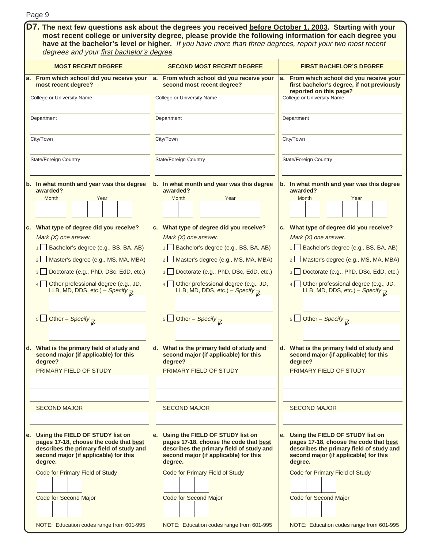| Page 9                                                                                                                                                                                                                                                                                                                                                                                                                                                                                                                                          |                                                                                                                                                                                                                                                                                                                                                                                                                                                                                                                |                                                                                                                                                                                                                                                                                                                                                                                                                                                                                                                           |  |  |  |  |  |
|-------------------------------------------------------------------------------------------------------------------------------------------------------------------------------------------------------------------------------------------------------------------------------------------------------------------------------------------------------------------------------------------------------------------------------------------------------------------------------------------------------------------------------------------------|----------------------------------------------------------------------------------------------------------------------------------------------------------------------------------------------------------------------------------------------------------------------------------------------------------------------------------------------------------------------------------------------------------------------------------------------------------------------------------------------------------------|---------------------------------------------------------------------------------------------------------------------------------------------------------------------------------------------------------------------------------------------------------------------------------------------------------------------------------------------------------------------------------------------------------------------------------------------------------------------------------------------------------------------------|--|--|--|--|--|
| D7. The next few questions ask about the degrees you received before October 1, 2003. Starting with your<br>most recent college or university degree, please provide the following information for each degree you<br>have at the bachelor's level or higher. If you have more than three degrees, report your two most recent<br>degrees and your first bachelor's degree.                                                                                                                                                                     |                                                                                                                                                                                                                                                                                                                                                                                                                                                                                                                |                                                                                                                                                                                                                                                                                                                                                                                                                                                                                                                           |  |  |  |  |  |
| <b>MOST RECENT DEGREE</b>                                                                                                                                                                                                                                                                                                                                                                                                                                                                                                                       | <b>SECOND MOST RECENT DEGREE</b>                                                                                                                                                                                                                                                                                                                                                                                                                                                                               | <b>FIRST BACHELOR'S DEGREE</b>                                                                                                                                                                                                                                                                                                                                                                                                                                                                                            |  |  |  |  |  |
| From which school did you receive your<br>а.<br>most recent degree?<br>College or University Name                                                                                                                                                                                                                                                                                                                                                                                                                                               | From which school did you receive your<br>a.<br>second most recent degree?<br>College or University Name                                                                                                                                                                                                                                                                                                                                                                                                       | a. From which school did you receive your<br>first bachelor's degree, if not previously<br>reported on this page?<br>College or University Name                                                                                                                                                                                                                                                                                                                                                                           |  |  |  |  |  |
| Department                                                                                                                                                                                                                                                                                                                                                                                                                                                                                                                                      | Department                                                                                                                                                                                                                                                                                                                                                                                                                                                                                                     | Department                                                                                                                                                                                                                                                                                                                                                                                                                                                                                                                |  |  |  |  |  |
| City/Town                                                                                                                                                                                                                                                                                                                                                                                                                                                                                                                                       | City/Town                                                                                                                                                                                                                                                                                                                                                                                                                                                                                                      | City/Town                                                                                                                                                                                                                                                                                                                                                                                                                                                                                                                 |  |  |  |  |  |
| State/Foreign Country                                                                                                                                                                                                                                                                                                                                                                                                                                                                                                                           | <b>State/Foreign Country</b>                                                                                                                                                                                                                                                                                                                                                                                                                                                                                   | <b>State/Foreign Country</b>                                                                                                                                                                                                                                                                                                                                                                                                                                                                                              |  |  |  |  |  |
| b. In what month and year was this degree<br>awarded?<br>Month<br>Year<br>c. What type of degree did you receive?<br>Mark $(X)$ one answer.<br>Bachelor's degree (e.g., BS, BA, AB)<br>Master's degree (e.g., MS, MA, MBA)<br>$2 \Box$<br>Doctorate (e.g., PhD, DSc, EdD, etc.)<br>3 <sup>1</sup><br>Other professional degree (e.g., JD,<br>4 <sup>1</sup><br>LLB, MD, DDS, etc.) - Specify $\overline{\mathcal{L}}$<br>5 Other – Specify $\overline{K}$<br>d. What is the primary field of study and<br>second major (if applicable) for this | b. In what month and year was this degree<br>awarded?<br>Month<br>Year<br>c. What type of degree did you receive?<br>Mark $(X)$ one answer.<br>1 Bachelor's degree (e.g., BS, BA, AB)<br>2   Master's degree (e.g., MS, MA, MBA)<br>3 Doctorate (e.g., PhD, DSc, EdD, etc.)<br>Other professional degree (e.g., JD,<br>4 <br>LLB, MD, DDS, etc.) – Specify $\overline{K}$<br>$\frac{1}{5}$ Other – Specify $\frac{1}{K}$<br>d. What is the primary field of study and<br>second major (if applicable) for this | b. In what month and year was this degree<br>awarded?<br>Month<br>Year<br>c. What type of degree did you receive?<br>Mark $(X)$ one answer.<br>1 Bachelor's degree (e.g., BS, BA, AB)<br>2   Master's degree (e.g., MS, MA, MBA)<br>Doctorate (e.g., PhD, DSc, EdD, etc.)<br>3 <sup>1</sup><br>Other professional degree (e.g., JD,<br>$4 \mid$<br>LLB, MD, DDS, etc.) – Specify $\overline{K}$<br>5 Other – Specify $\overline{K}$<br>d. What is the primary field of study and<br>second major (if applicable) for this |  |  |  |  |  |
| degree?<br>PRIMARY FIELD OF STUDY                                                                                                                                                                                                                                                                                                                                                                                                                                                                                                               | degree?<br>PRIMARY FIELD OF STUDY                                                                                                                                                                                                                                                                                                                                                                                                                                                                              | degree?<br>PRIMARY FIELD OF STUDY                                                                                                                                                                                                                                                                                                                                                                                                                                                                                         |  |  |  |  |  |
| <b>SECOND MAJOR</b>                                                                                                                                                                                                                                                                                                                                                                                                                                                                                                                             | <b>SECOND MAJOR</b>                                                                                                                                                                                                                                                                                                                                                                                                                                                                                            | <b>SECOND MAJOR</b>                                                                                                                                                                                                                                                                                                                                                                                                                                                                                                       |  |  |  |  |  |
| Using the FIELD OF STUDY list on<br>е.<br>pages 17-18, choose the code that best<br>describes the primary field of study and<br>second major (if applicable) for this<br>degree.<br>Code for Primary Field of Study                                                                                                                                                                                                                                                                                                                             | e. Using the FIELD OF STUDY list on<br>pages 17-18, choose the code that best<br>describes the primary field of study and<br>second major (if applicable) for this<br>degree.<br>Code for Primary Field of Study                                                                                                                                                                                                                                                                                               | e. Using the FIELD OF STUDY list on<br>pages 17-18, choose the code that best<br>describes the primary field of study and<br>second major (if applicable) for this<br>degree.<br>Code for Primary Field of Study                                                                                                                                                                                                                                                                                                          |  |  |  |  |  |
| Code for Second Major<br>NOTE: Education codes range from 601-995                                                                                                                                                                                                                                                                                                                                                                                                                                                                               | Code for Second Major<br>NOTE: Education codes range from 601-995                                                                                                                                                                                                                                                                                                                                                                                                                                              | Code for Second Major<br>NOTE: Education codes range from 601-995                                                                                                                                                                                                                                                                                                                                                                                                                                                         |  |  |  |  |  |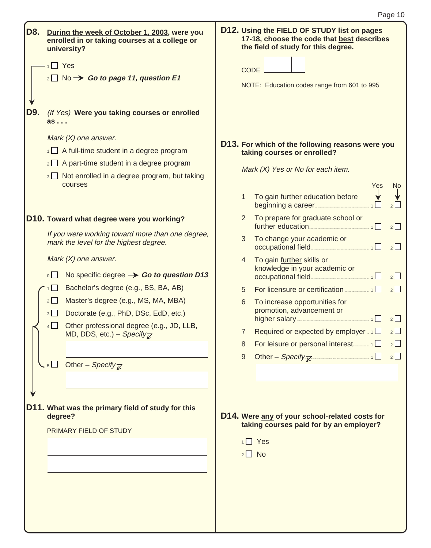| D8. | During the week of October 1, 2003, were you<br>enrolled in or taking courses at a college or<br>university? | D12. Using the FIELD OF STUDY list on pages<br>17-18, choose the code that best describes<br>the field of study for this degree. |
|-----|--------------------------------------------------------------------------------------------------------------|----------------------------------------------------------------------------------------------------------------------------------|
|     | $1 \square$ Yes                                                                                              | CODE.                                                                                                                            |
|     | $_2\square$ No $\rightarrow$ Go to page 11, question E1                                                      |                                                                                                                                  |
|     |                                                                                                              | NOTE: Education codes range from 601 to 995                                                                                      |
|     |                                                                                                              |                                                                                                                                  |
| D9. | (If Yes) Were you taking courses or enrolled<br>as                                                           |                                                                                                                                  |
|     | Mark $(X)$ one answer.                                                                                       | D13. For which of the following reasons were you                                                                                 |
|     | $\overline{1}$ A full-time student in a degree program                                                       | taking courses or enrolled?                                                                                                      |
|     | $2 \Box$ A part-time student in a degree program                                                             | Mark (X) Yes or No for each item.                                                                                                |
|     | $\frac{1}{3}$ Not enrolled in a degree program, but taking<br>courses                                        |                                                                                                                                  |
|     |                                                                                                              | Yes<br><b>No</b><br>To gain further education before<br>1.                                                                       |
|     |                                                                                                              | 2                                                                                                                                |
|     | D10. Toward what degree were you working?                                                                    | To prepare for graduate school or<br>$\mathbf{2}^{\prime}$<br>$2\Box$                                                            |
|     | If you were working toward more than one degree,<br>mark the level for the highest degree.                   | To change your academic or<br>3<br>$2 \Box$                                                                                      |
|     | Mark $(X)$ one answer.                                                                                       | To gain further skills or<br>4                                                                                                   |
|     | $\circ$ $\Box$<br>No specific degree $\rightarrow$ Go to question D13                                        | knowledge in your academic or<br>$2\Box$                                                                                         |
|     | Bachelor's degree (e.g., BS, BA, AB)<br>1                                                                    | 2<br>5                                                                                                                           |
|     | Master's degree (e.g., MS, MA, MBA)<br>2                                                                     | To increase opportunities for<br>6                                                                                               |
|     | Doctorate (e.g., PhD, DSc, EdD, etc.)<br>3                                                                   | promotion, advancement or<br>$2\Box$                                                                                             |
|     | Other professional degree (e.g., JD, LLB,<br>4                                                               | Required or expected by employer $. 1$<br>$2\Box$<br>7                                                                           |
|     | MD, DDS, etc.) – Specify $\overline{Z}$                                                                      | $2\Box$<br>For leisure or personal interest $\overline{1}$<br>8                                                                  |
|     |                                                                                                              | 9<br>2                                                                                                                           |
|     | $\overline{\phantom{a}}$ 5 Other – Specify $\overline{\phantom{a}}$                                          |                                                                                                                                  |
|     |                                                                                                              |                                                                                                                                  |
|     |                                                                                                              |                                                                                                                                  |
|     | D11. What was the primary field of study for this                                                            |                                                                                                                                  |
|     | degree?                                                                                                      | D14. Were any of your school-related costs for<br>taking courses paid for by an employer?                                        |
|     | PRIMARY FIELD OF STUDY                                                                                       |                                                                                                                                  |
|     |                                                                                                              | $1 \square$ Yes                                                                                                                  |
|     |                                                                                                              | $2 \Box$ No                                                                                                                      |
|     |                                                                                                              |                                                                                                                                  |
|     |                                                                                                              |                                                                                                                                  |
|     |                                                                                                              |                                                                                                                                  |
|     |                                                                                                              |                                                                                                                                  |
|     |                                                                                                              |                                                                                                                                  |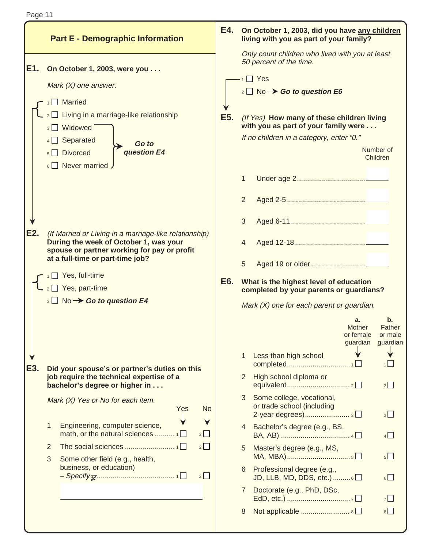|             |   | <b>Part E - Demographic Information</b>                                                                                                                                                                                | E4.              |                     | On October 1, 2003, did you have any children<br>living with you as part of your family?                                                                                                                                                                                    |                                              |                                                |
|-------------|---|------------------------------------------------------------------------------------------------------------------------------------------------------------------------------------------------------------------------|------------------|---------------------|-----------------------------------------------------------------------------------------------------------------------------------------------------------------------------------------------------------------------------------------------------------------------------|----------------------------------------------|------------------------------------------------|
| IE1.        |   | On October 1, 2003, were you<br>Mark $(X)$ one answer.<br>$\Box$ Married<br>Living in a marriage-like relationship<br>3 Widowed<br>$4 \Box$ Separated<br>Go to<br>question E4<br>5 Divorced<br>$6 \Box$ Never married. | E <sub>5</sub> . |                     | Only count children who lived with you at least<br>50 percent of the time.<br>$1$ Yes<br>$\frac{1}{2}$ No $\rightarrow$ Go to question E6<br>(If Yes) How many of these children living<br>with you as part of your family were<br>If no children in a category, enter "0." |                                              | Number of<br>Children                          |
|             |   |                                                                                                                                                                                                                        |                  | 1<br>$\overline{2}$ |                                                                                                                                                                                                                                                                             |                                              |                                                |
| <b>IE2.</b> |   | (If Married or Living in a marriage-like relationship)<br>During the week of October 1, was your<br>spouse or partner working for pay or profit<br>at a full-time or part-time job?                                    |                  | 3<br>4<br>5         |                                                                                                                                                                                                                                                                             |                                              |                                                |
|             |   | Yes, full-time<br>2 Yes, part-time<br>$\frac{1}{3}$ No $\rightarrow$ Go to question E4                                                                                                                                 | E6.              |                     | What is the highest level of education<br>completed by your parents or guardians?<br>Mark (X) one for each parent or guardian.                                                                                                                                              | a.<br><b>Mother</b><br>or female<br>guardian | $\mathbf b$ .<br>Father<br>or male<br>guardian |
| E3.         |   | Did your spouse's or partner's duties on this<br>job require the technical expertise of a<br>bachelor's degree or higher in                                                                                            |                  | 1<br>2              | Less than high school<br>High school diploma or                                                                                                                                                                                                                             |                                              | $2\Box$                                        |
|             | 1 | Mark (X) Yes or No for each item.<br>Yes<br><b>No</b><br>Engineering, computer science,                                                                                                                                |                  | 3<br>4              | Some college, vocational,<br>or trade school (including<br>Bachelor's degree (e.g., BS,                                                                                                                                                                                     |                                              | $3\Box$                                        |
|             | 2 | math, or the natural sciences $1\Box$<br>2<br>$2\Box$                                                                                                                                                                  |                  |                     |                                                                                                                                                                                                                                                                             |                                              | 4                                              |
|             | 3 | Some other field (e.g., health,                                                                                                                                                                                        |                  | 5                   | Master's degree (e.g., MS,                                                                                                                                                                                                                                                  |                                              | $5\Box$                                        |
|             |   | business, or education)<br>2                                                                                                                                                                                           |                  | 6                   | Professional degree (e.g.,<br>JD, LLB, MD, DDS, etc.) 6                                                                                                                                                                                                                     |                                              | 6                                              |
|             |   |                                                                                                                                                                                                                        |                  | $7^{\circ}$         | Doctorate (e.g., PhD, DSc,<br>Not applicable  8 □                                                                                                                                                                                                                           |                                              | $7\Box$<br>$8\Box$                             |
|             |   |                                                                                                                                                                                                                        |                  | 8                   |                                                                                                                                                                                                                                                                             |                                              |                                                |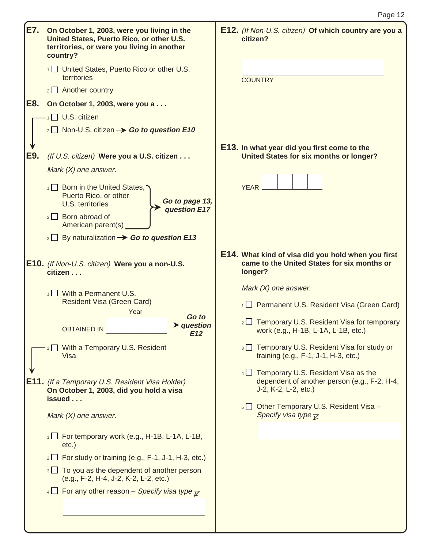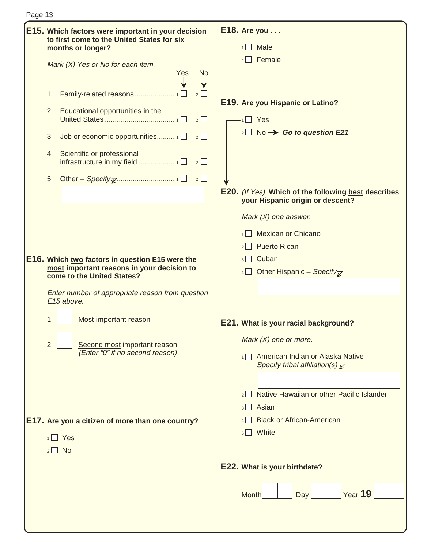| Page 13 |   |                                                                                                                       |                                                                                                             |
|---------|---|-----------------------------------------------------------------------------------------------------------------------|-------------------------------------------------------------------------------------------------------------|
|         |   | E15. Which factors were important in your decision<br>to first come to the United States for six<br>months or longer? | $E18.$ Are you $\ldots$<br>$1 \square$ Male                                                                 |
|         |   | Mark (X) Yes or No for each item.<br><b>Yes</b><br><b>No</b>                                                          | $2 \Box$ Female                                                                                             |
|         | 1 |                                                                                                                       | E19. Are you Hispanic or Latino?                                                                            |
|         | 2 | Educational opportunities in the<br>2                                                                                 | $1 \square$ Yes                                                                                             |
|         | 3 | Job or economic opportunities $1\Box$<br>$2\Box$                                                                      | $_2\square$ No $\rightarrow$ Go to question E21                                                             |
|         | 4 | Scientific or professional<br>2                                                                                       |                                                                                                             |
|         | 5 |                                                                                                                       |                                                                                                             |
|         |   |                                                                                                                       | <b>E20.</b> (If Yes) Which of the following best describes<br>your Hispanic origin or descent?              |
|         |   |                                                                                                                       | Mark $(X)$ one answer.                                                                                      |
|         |   |                                                                                                                       | 1 Mexican or Chicano                                                                                        |
|         |   |                                                                                                                       | $2 \Box$ Puerto Rican                                                                                       |
|         |   | E16. Which two factors in question E15 were the<br>most important reasons in your decision to                         | 3 <sup>o</sup> Cuban                                                                                        |
|         |   | come to the United States?                                                                                            | 4 Other Hispanic – Specify <sub><math>\overline{z}</math></sub>                                             |
|         |   | Enter number of appropriate reason from question<br>E15 above.                                                        |                                                                                                             |
|         |   | Most important reason                                                                                                 | E21. What is your racial background?                                                                        |
|         | 2 | Second most important reason                                                                                          | Mark $(X)$ one or more.                                                                                     |
|         |   | (Enter "0" if no second reason)                                                                                       | 1 <sup>1</sup> American Indian or Alaska Native -<br>Specify tribal affiliation(s) $\overline{\mathcal{L}}$ |
|         |   |                                                                                                                       | Native Hawaiian or other Pacific Islander                                                                   |
|         |   |                                                                                                                       | $3 \Box$ Asian                                                                                              |
|         |   | E17. Are you a citizen of more than one country?                                                                      | 4 Black or African-American                                                                                 |
|         |   | $1 \square$ Yes                                                                                                       | $5 \Box$ White                                                                                              |
|         |   | $2 \Box$ No                                                                                                           |                                                                                                             |
|         |   |                                                                                                                       | E22. What is your birthdate?                                                                                |
|         |   |                                                                                                                       | <u>Year</u> 19<br>Day<br><b>Month</b>                                                                       |
|         |   |                                                                                                                       |                                                                                                             |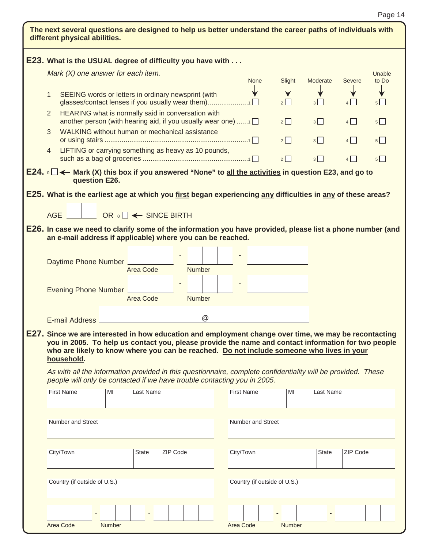| $\mathbf{1}$<br>2<br>3<br>$\overline{4}$ | E23. What is the USUAL degree of difficulty you have with<br>Mark (X) one answer for each item.<br>SEEING words or letters in ordinary newsprint (with<br>glasses/contact lenses if you usually wear them)1<br>HEARING what is normally said in conversation with<br>another person (with hearing aid, if you usually wear one) 1<br>WALKING without human or mechanical assistance<br>LIFTING or carrying something as heavy as 10 pounds,<br>E24. $\circ$ $\Box$ ← Mark (X) this box if you answered "None" to <u>all the activities</u> in question E23, and go to<br>question E26.<br>E25. What is the earliest age at which you <u>first</u> began experiencing <u>any</u> difficulties in <u>any</u> of these areas?<br>AGE<br>E26. In case we need to clarify some of the information you have provided, please list a phone number (and<br>an e-mail address if applicable) where you can be reached. |    | OR <sub>0</sub> □ ← SINCE BIRTH |          |               |                   | <b>None</b>              | Slight<br>$2\Box$<br>2<br>$2\Box$<br>2 |    | Moderate<br>3<br>$3\Box$<br>3<br>$3\Box$ | Severe<br>$4\Box$<br>4<br>$4\Box$<br>4 | Unable<br>to Do<br>$5\Box$<br>$5\Box$<br>$5$  <br>$5\Box$ |
|------------------------------------------|---------------------------------------------------------------------------------------------------------------------------------------------------------------------------------------------------------------------------------------------------------------------------------------------------------------------------------------------------------------------------------------------------------------------------------------------------------------------------------------------------------------------------------------------------------------------------------------------------------------------------------------------------------------------------------------------------------------------------------------------------------------------------------------------------------------------------------------------------------------------------------------------------------------|----|---------------------------------|----------|---------------|-------------------|--------------------------|----------------------------------------|----|------------------------------------------|----------------------------------------|-----------------------------------------------------------|
|                                          |                                                                                                                                                                                                                                                                                                                                                                                                                                                                                                                                                                                                                                                                                                                                                                                                                                                                                                               |    |                                 |          |               |                   |                          |                                        |    |                                          |                                        |                                                           |
|                                          |                                                                                                                                                                                                                                                                                                                                                                                                                                                                                                                                                                                                                                                                                                                                                                                                                                                                                                               |    |                                 |          |               |                   |                          |                                        |    |                                          |                                        |                                                           |
|                                          |                                                                                                                                                                                                                                                                                                                                                                                                                                                                                                                                                                                                                                                                                                                                                                                                                                                                                                               |    |                                 |          |               |                   |                          |                                        |    |                                          |                                        |                                                           |
|                                          |                                                                                                                                                                                                                                                                                                                                                                                                                                                                                                                                                                                                                                                                                                                                                                                                                                                                                                               |    |                                 |          |               |                   |                          |                                        |    |                                          |                                        |                                                           |
|                                          |                                                                                                                                                                                                                                                                                                                                                                                                                                                                                                                                                                                                                                                                                                                                                                                                                                                                                                               |    |                                 |          |               |                   |                          |                                        |    |                                          |                                        |                                                           |
|                                          |                                                                                                                                                                                                                                                                                                                                                                                                                                                                                                                                                                                                                                                                                                                                                                                                                                                                                                               |    |                                 |          |               |                   |                          |                                        |    |                                          |                                        |                                                           |
|                                          |                                                                                                                                                                                                                                                                                                                                                                                                                                                                                                                                                                                                                                                                                                                                                                                                                                                                                                               |    |                                 |          |               |                   |                          |                                        |    |                                          |                                        |                                                           |
|                                          |                                                                                                                                                                                                                                                                                                                                                                                                                                                                                                                                                                                                                                                                                                                                                                                                                                                                                                               |    |                                 |          |               |                   |                          |                                        |    |                                          |                                        |                                                           |
|                                          |                                                                                                                                                                                                                                                                                                                                                                                                                                                                                                                                                                                                                                                                                                                                                                                                                                                                                                               |    |                                 |          |               |                   |                          |                                        |    |                                          |                                        |                                                           |
|                                          |                                                                                                                                                                                                                                                                                                                                                                                                                                                                                                                                                                                                                                                                                                                                                                                                                                                                                                               |    |                                 |          |               |                   |                          |                                        |    |                                          |                                        |                                                           |
|                                          |                                                                                                                                                                                                                                                                                                                                                                                                                                                                                                                                                                                                                                                                                                                                                                                                                                                                                                               |    |                                 |          |               |                   |                          |                                        |    |                                          |                                        |                                                           |
|                                          |                                                                                                                                                                                                                                                                                                                                                                                                                                                                                                                                                                                                                                                                                                                                                                                                                                                                                                               |    |                                 |          |               |                   |                          |                                        |    |                                          |                                        |                                                           |
|                                          |                                                                                                                                                                                                                                                                                                                                                                                                                                                                                                                                                                                                                                                                                                                                                                                                                                                                                                               |    |                                 |          |               |                   |                          |                                        |    |                                          |                                        |                                                           |
|                                          | Daytime Phone Number                                                                                                                                                                                                                                                                                                                                                                                                                                                                                                                                                                                                                                                                                                                                                                                                                                                                                          |    | Area Code                       |          | <b>Number</b> |                   |                          |                                        |    |                                          |                                        |                                                           |
|                                          |                                                                                                                                                                                                                                                                                                                                                                                                                                                                                                                                                                                                                                                                                                                                                                                                                                                                                                               |    |                                 |          |               |                   |                          |                                        |    |                                          |                                        |                                                           |
|                                          | Evening Phone Number                                                                                                                                                                                                                                                                                                                                                                                                                                                                                                                                                                                                                                                                                                                                                                                                                                                                                          |    | Area Code                       |          | Number        |                   |                          |                                        |    |                                          |                                        |                                                           |
|                                          |                                                                                                                                                                                                                                                                                                                                                                                                                                                                                                                                                                                                                                                                                                                                                                                                                                                                                                               |    |                                 |          |               |                   |                          |                                        |    |                                          |                                        |                                                           |
|                                          |                                                                                                                                                                                                                                                                                                                                                                                                                                                                                                                                                                                                                                                                                                                                                                                                                                                                                                               |    |                                 |          | @             |                   |                          |                                        |    |                                          |                                        |                                                           |
|                                          | E27. Since we are interested in how education and employment change over time, we may be recontacting<br>you in 2005. To help us contact you, please provide the name and contact information for two people<br>who are likely to know where you can be reached. Do not include someone who lives in your<br>household.<br>As with all the information provided in this questionnaire, complete confidentiality will be provided. These<br>people will only be contacted if we have trouble contacting you in 2005.                                                                                                                                                                                                                                                                                                                                                                                           |    |                                 |          |               |                   |                          |                                        |    |                                          |                                        |                                                           |
|                                          | <b>First Name</b>                                                                                                                                                                                                                                                                                                                                                                                                                                                                                                                                                                                                                                                                                                                                                                                                                                                                                             | MI | <b>Last Name</b>                |          |               | <b>First Name</b> |                          |                                        | MI | Last Name                                |                                        |                                                           |
|                                          |                                                                                                                                                                                                                                                                                                                                                                                                                                                                                                                                                                                                                                                                                                                                                                                                                                                                                                               |    |                                 |          |               |                   |                          |                                        |    |                                          |                                        |                                                           |
|                                          | Number and Street                                                                                                                                                                                                                                                                                                                                                                                                                                                                                                                                                                                                                                                                                                                                                                                                                                                                                             |    |                                 |          |               |                   | <b>Number and Street</b> |                                        |    |                                          |                                        |                                                           |
|                                          | City/Town                                                                                                                                                                                                                                                                                                                                                                                                                                                                                                                                                                                                                                                                                                                                                                                                                                                                                                     |    | <b>State</b>                    | ZIP Code |               | City/Town         |                          |                                        |    | <b>State</b>                             | ZIP Code                               |                                                           |
|                                          | Country (if outside of U.S.)                                                                                                                                                                                                                                                                                                                                                                                                                                                                                                                                                                                                                                                                                                                                                                                                                                                                                  |    |                                 |          |               |                   |                          | Country (if outside of U.S.)           |    |                                          |                                        |                                                           |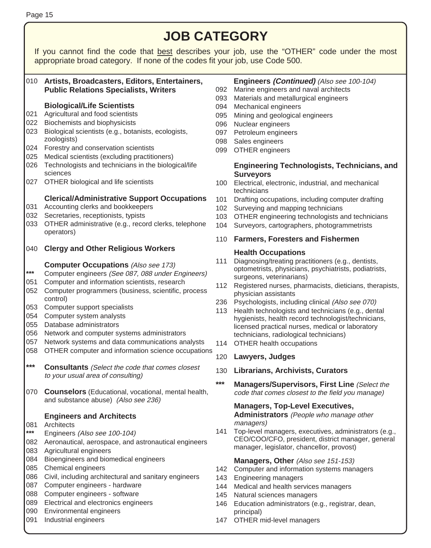|            | <b>JOB CATEGORY</b>                                                                                                                                                           |            |                                                                                                                            |  |  |  |  |  |
|------------|-------------------------------------------------------------------------------------------------------------------------------------------------------------------------------|------------|----------------------------------------------------------------------------------------------------------------------------|--|--|--|--|--|
|            | If you cannot find the code that best describes your job, use the "OTHER" code under the most<br>appropriate broad category. If none of the codes fit your job, use Code 500. |            |                                                                                                                            |  |  |  |  |  |
|            | 010 Artists, Broadcasters, Editors, Entertainers,<br><b>Public Relations Specialists, Writers</b>                                                                             | 092<br>093 | Engineers (Continued) (Also see 100-104)<br>Marine engineers and naval architects<br>Materials and metallurgical engineers |  |  |  |  |  |
|            | <b>Biological/Life Scientists</b>                                                                                                                                             | 094        | Mechanical engineers                                                                                                       |  |  |  |  |  |
| 021        | Agricultural and food scientists                                                                                                                                              | 095        | Mining and geological engineers                                                                                            |  |  |  |  |  |
| 022        | Biochemists and biophysicists                                                                                                                                                 | 096        | Nuclear engineers                                                                                                          |  |  |  |  |  |
| 023        | Biological scientists (e.g., botanists, ecologists,                                                                                                                           | 097        | Petroleum engineers                                                                                                        |  |  |  |  |  |
|            | zoologists)                                                                                                                                                                   | 098        | Sales engineers                                                                                                            |  |  |  |  |  |
| 024<br>025 | Forestry and conservation scientists<br>Medical scientists (excluding practitioners)                                                                                          | 099        | OTHER engineers                                                                                                            |  |  |  |  |  |
| 026        | Technologists and technicians in the biological/life                                                                                                                          |            | <b>Engineering Technologists, Technicians, and</b>                                                                         |  |  |  |  |  |
|            | sciences                                                                                                                                                                      |            | <b>Surveyors</b>                                                                                                           |  |  |  |  |  |
| 027        | OTHER biological and life scientists                                                                                                                                          | 100        | Electrical, electronic, industrial, and mechanical<br>technicians                                                          |  |  |  |  |  |
|            | <b>Clerical/Administrative Support Occupations</b>                                                                                                                            | 101        | Drafting occupations, including computer drafting                                                                          |  |  |  |  |  |
| 031        | Accounting clerks and bookkeepers                                                                                                                                             | 102        | Surveying and mapping technicians                                                                                          |  |  |  |  |  |
| 032        | Secretaries, receptionists, typists                                                                                                                                           | 103        | OTHER engineering technologists and technicians                                                                            |  |  |  |  |  |
| 033        | OTHER administrative (e.g., record clerks, telephone<br>operators)                                                                                                            | 104        | Surveyors, cartographers, photogrammetrists                                                                                |  |  |  |  |  |
|            |                                                                                                                                                                               | 110        | <b>Farmers, Foresters and Fishermen</b>                                                                                    |  |  |  |  |  |
| 040        | <b>Clergy and Other Religious Workers</b>                                                                                                                                     | 111        | <b>Health Occupations</b><br>Diagnosing/treating practitioners (e.g., dentists,                                            |  |  |  |  |  |
| ***        | <b>Computer Occupations (Also see 173)</b><br>Computer engineers (See 087, 088 under Engineers)                                                                               |            | optometrists, physicians, psychiatrists, podiatrists,                                                                      |  |  |  |  |  |
| 051        | Computer and information scientists, research                                                                                                                                 |            | surgeons, veterinarians)                                                                                                   |  |  |  |  |  |
| 052        | Computer programmers (business, scientific, process<br>control)                                                                                                               | 112<br>236 | Registered nurses, pharmacists, dieticians, therapists,<br>physician assistants                                            |  |  |  |  |  |
| 053        | Computer support specialists                                                                                                                                                  | 113        | Psychologists, including clinical (Also see 070)<br>Health technologists and technicians (e.g., dental                     |  |  |  |  |  |
| 054        | Computer system analysts                                                                                                                                                      |            | hygienists, health record technologist/technicians,                                                                        |  |  |  |  |  |
| 055        | Database administrators                                                                                                                                                       |            | licensed practical nurses, medical or laboratory                                                                           |  |  |  |  |  |
| 056        | Network and computer systems administrators                                                                                                                                   |            | technicians, radiological technicians)                                                                                     |  |  |  |  |  |
| 057        | Network systems and data communications analysts                                                                                                                              | 114        | OTHER health occupations                                                                                                   |  |  |  |  |  |
| 058        | OTHER computer and information science occupations                                                                                                                            |            | 120 Lawyers, Judges                                                                                                        |  |  |  |  |  |
| ***        | <b>Consultants</b> (Select the code that comes closest                                                                                                                        | 130        | <b>Librarians, Archivists, Curators</b>                                                                                    |  |  |  |  |  |
|            | to your usual area of consulting)                                                                                                                                             | ***        |                                                                                                                            |  |  |  |  |  |
| 070        | <b>Counselors</b> (Educational, vocational, mental health,<br>and substance abuse) (Also see 236)                                                                             |            | <b>Managers/Supervisors, First Line (Select the</b><br>code that comes closest to the field you manage)                    |  |  |  |  |  |
|            |                                                                                                                                                                               |            | <b>Managers, Top-Level Executives,</b>                                                                                     |  |  |  |  |  |
|            | <b>Engineers and Architects</b>                                                                                                                                               |            | <b>Administrators</b> (People who manage other                                                                             |  |  |  |  |  |
| 081        | Architects                                                                                                                                                                    |            | managers)                                                                                                                  |  |  |  |  |  |
| ***        | Engineers (Also see 100-104)                                                                                                                                                  | 141        | Top-level managers, executives, administrators (e.g.,<br>CEO/COO/CFO, president, district manager, general                 |  |  |  |  |  |
| 082        | Aeronautical, aerospace, and astronautical engineers                                                                                                                          |            | manager, legislator, chancellor, provost)                                                                                  |  |  |  |  |  |
| 083        | Agricultural engineers                                                                                                                                                        |            |                                                                                                                            |  |  |  |  |  |
| 084        | Bioengineers and biomedical engineers                                                                                                                                         |            | Managers, Other (Also see 151-153)                                                                                         |  |  |  |  |  |
| 085<br>086 | Chemical engineers<br>Civil, including architectural and sanitary engineers                                                                                                   | 142        | Computer and information systems managers                                                                                  |  |  |  |  |  |
| 087        | Computer engineers - hardware                                                                                                                                                 | 143        | <b>Engineering managers</b>                                                                                                |  |  |  |  |  |
| 088        | Computer engineers - software                                                                                                                                                 | 144<br>145 | Medical and health services managers<br>Natural sciences managers                                                          |  |  |  |  |  |
| 089        | Electrical and electronics engineers                                                                                                                                          | 146        | Education administrators (e.g., registrar, dean,                                                                           |  |  |  |  |  |
| 090        | Environmental engineers                                                                                                                                                       |            | principal)                                                                                                                 |  |  |  |  |  |
| 091        | Industrial engineers                                                                                                                                                          | 147        | OTHER mid-level managers                                                                                                   |  |  |  |  |  |
|            |                                                                                                                                                                               |            |                                                                                                                            |  |  |  |  |  |

Page 15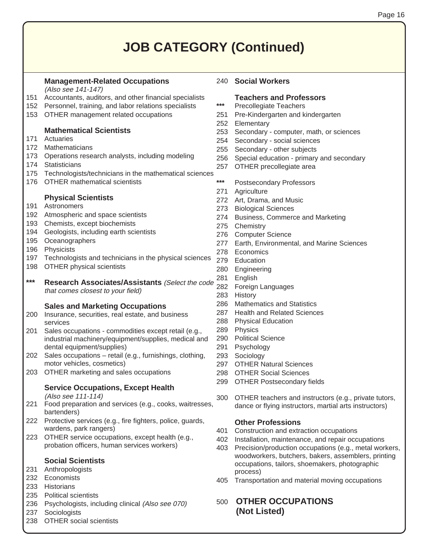### **JOB CATEGORY (Continued)**

#### **Management-Related Occupations**

- (Also see 141-147)
- 151 Accountants, auditors, and other financial specialists
- 152 Personnel, training, and labor relations specialists
- 153 OTHER management related occupations

#### **Mathematical Scientists**

- 171 Actuaries
- 172 Mathematicians
- 173 Operations research analysts, including modeling
- 174 Statisticians
- 175 Technologists/technicians in the mathematical sciences
- 176 OTHER mathematical scientists

#### **Physical Scientists**

- 191 Astronomers
- 192 Atmospheric and space scientists
- 193 Chemists, except biochemists
- 194 Geologists, including earth scientists
- 195 Oceanographers
- 196 Physicists
- 197 Technologists and technicians in the physical sciences
- 198 OTHER physical scientists
- **\*\*\* Research Associates/Assistants** (Select the code that comes closest to your field)

#### **Sales and Marketing Occupations**

- 200 Insurance, securities, real estate, and business services
- 201 Sales occupations commodities except retail (e.g., industrial machinery/equipment/supplies, medical and dental equipment/supplies)
- 202 Sales occupations retail (e.g., furnishings, clothing, motor vehicles, cosmetics)
- 203 OTHER marketing and sales occupations

#### **Service Occupations, Except Health**

(Also see 111-114)

- 221 Food preparation and services (e.g., cooks, waitresses, bartenders)
- 222 Protective services (e.g., fire fighters, police, guards, wardens, park rangers)
- 223 OTHER service occupations, except health (e.g., probation officers, human services workers)

#### **Social Scientists**

- 231 Anthropologists
- 232 Economists
- 233 Historians
- 235 Political scientists
- 236 Psychologists, including clinical (Also see 070)
- 237 Sociologists
- 238 OTHER social scientists

#### 240 **Social Workers**

#### **Teachers and Professors**

- **\*\*\*** Precollegiate Teachers
- 251 Pre-Kindergarten and kindergarten
- 252 Elementary
- 253 Secondary computer, math, or sciences
- 254 Secondary social sciences
- 255 Secondary other subjects
- 256 Special education primary and secondary
- 257 OTHER precollegiate area
- **\*\*\*** Postsecondary Professors
- 271 Agriculture
- 272 Art, Drama, and Music
- 273 Biological Sciences
- 274 Business, Commerce and Marketing
- 275 Chemistry
- 276 Computer Science
- 277 Earth, Environmental, and Marine Sciences
- 278 Economics
- 279 Education
- 280 Engineering
- 281 English
- 282 Foreign Languages
- 283 History
- 286 Mathematics and Statistics
- 287 Health and Related Sciences
- 288 Physical Education
- 289 Physics
- 290 Political Science
- 291 Psychology
- 293 Sociology
- 297 OTHER Natural Sciences
- 298 OTHER Social Sciences
- 299 OTHER Postsecondary fields
- 300 OTHER teachers and instructors (e.g., private tutors, dance or flying instructors, martial arts instructors)

#### **Other Professions**

- 401 Construction and extraction occupations
- 402 Installation, maintenance, and repair occupations
- 403 Precision/production occupations (e.g., metal workers, woodworkers, butchers, bakers, assemblers, printing occupations, tailors, shoemakers, photographic process)
- 405 Transportation and material moving occupations

#### 500 **OTHER OCCUPATIONS (Not Listed)**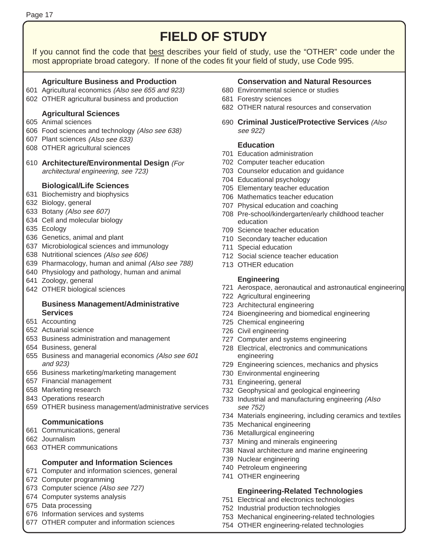## **FIELD OF STUDY AND REALLY AND REALLY AND REALLY AND REALLY AND REALLY AND REALLY AND REALLY AND REALLY AND RE**

If you cannot find the code that best describes your field of study, use the "OTHER" code under the most appropriate broad category. If none of the codes fit your field of study, use Code 995.

#### **Agriculture Business and Production**

- 601 Agricultural economics (Also see 655 and 923)
- 602 OTHER agricultural business and production

#### **Agricultural Sciences**

- 605 Animal sciences
- 606 Food sciences and technology (Also see 638)
- 607 Plant sciences (Also see 633)
- 608 OTHER agricultural sciences
- 610 **Architecture/Environmental Design** (For architectural engineering, see 723)

#### **Biological/Life Sciences**

- 631 Biochemistry and biophysics
- 632 Biology, general
- 633 Botany (Also see 607)
- 634 Cell and molecular biology
- 635 Ecology
- 636 Genetics, animal and plant
- 637 Microbiological sciences and immunology
- 638 Nutritional sciences (Also see 606)
- 639 Pharmacology, human and animal (Also see 788)
- 640 Physiology and pathology, human and animal
- 641 Zoology, general
- 642 OTHER biological sciences

#### **Business Management/Administrative Services**

- 651 Accounting
- 652 Actuarial science
- 653 Business administration and management
- 654 Business, general
- 655 Business and managerial economics (Also see 601 and 923)
- 656 Business marketing/marketing management
- 657 Financial management
- 658 Marketing research
- 843 Operations research
- 659 OTHER business management/administrative services

#### **Communications**

- 661 Communications, general
- 662 Journalism
- 663 OTHER communications

#### **Computer and Information Sciences**

- 671 Computer and information sciences, general
- 672 Computer programming
- 673 Computer science (Also see 727)
- 674 Computer systems analysis
- 675 Data processing
- 676 Information services and systems
- 677 OTHER computer and information sciences

#### **Conservation and Natural Resources**

- 680 Environmental science or studies
- 681 Forestry sciences
- 682 OTHER natural resources and conservation
- 690 **Criminal Justice/Protective Services** (Also see 922)

#### **Education**

- 701 Education administration
- 702 Computer teacher education
- 703 Counselor education and guidance
- 704 Educational psychology
- 705 Elementary teacher education
- 706 Mathematics teacher education
- 707 Physical education and coaching
- 708 Pre-school/kindergarten/early childhood teacher education
- 709 Science teacher education
- 710 Secondary teacher education
- 711 Special education
- 712 Social science teacher education
- 713 OTHER education

#### **Engineering**

- 721 Aerospace, aeronautical and astronautical engineering
- 722 Agricultural engineering
- 723 Architectural engineering
- 724 Bioengineering and biomedical engineering
- 725 Chemical engineering
- 726 Civil engineering
- 727 Computer and systems engineering
- 728 Electrical, electronics and communications engineering
- 729 Engineering sciences, mechanics and physics
- 730 Environmental engineering
- 731 Engineering, general
- 732 Geophysical and geological engineering
- 733 Industrial and manufacturing engineering (Also see 752)
- 734 Materials engineering, including ceramics and textiles
- 735 Mechanical engineering
- 736 Metallurgical engineering
- 737 Mining and minerals engineering
- 738 Naval architecture and marine engineering
- 739 Nuclear engineering
- 740 Petroleum engineering
- 741 OTHER engineering

#### **Engineering-Related Technologies**

- 751 Electrical and electronics technologies
- 752 Industrial production technologies
- 753 Mechanical engineering-related technologies
- 754 OTHER engineering-related technologies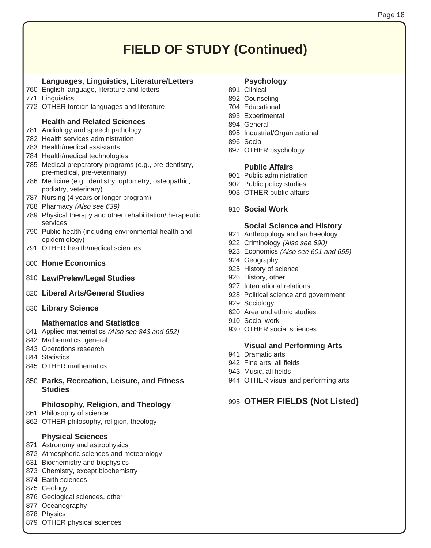### **FIELD OF STUDY (Continued)**

#### **Languages, Linguistics, Literature/Letters**

- 760 English language, literature and letters
- 771 Linguistics
- 772 OTHER foreign languages and literature

#### **Health and Related Sciences**

- 781 Audiology and speech pathology
- 782 Health services administration
- 783 Health/medical assistants
- 784 Health/medical technologies
- 785 Medical preparatory programs (e.g., pre-dentistry, pre-medical, pre-veterinary)
- 786 Medicine (e.g., dentistry, optometry, osteopathic, podiatry, veterinary)
- 787 Nursing (4 years or longer program)
- 788 Pharmacy (Also see 639)
- 789 Physical therapy and other rehabilitation/therapeutic services
- 790 Public health (including environmental health and epidemiology)
- 791 OTHER health/medical sciences
- 800 **Home Economics**
- 810 **Law/Prelaw/Legal Studies**
- 820 **Liberal Arts/General Studies**
- 830 **Library Science**

#### **Mathematics and Statistics**

- 841 Applied mathematics (Also see 843 and 652)
- 842 Mathematics, general
- 843 Operations research
- 844 Statistics
- 845 OTHER mathematics
- 850 **Parks, Recreation, Leisure, and Fitness Studies**

#### **Philosophy, Religion, and Theology**

- 861 Philosophy of science
- 862 OTHER philosophy, religion, theology

#### **Physical Sciences**

- 871 Astronomy and astrophysics
- 872 Atmospheric sciences and meteorology
- 631 Biochemistry and biophysics
- 873 Chemistry, except biochemistry
- 874 Earth sciences
- 875 Geology
- 876 Geological sciences, other
- 877 Oceanography
- 878 Physics
- 879 OTHER physical sciences

#### **Psychology**

- 891 Clinical
- 892 Counseling
- 704 Educational
- 893 Experimental
- 894 General
- 895 Industrial/Organizational
- 896 Social
- 897 OTHER psychology

#### **Public Affairs**

- 901 Public administration
- 902 Public policy studies
- 903 OTHER public affairs
- 910 **Social Work**

#### **Social Science and History**

- 921 Anthropology and archaeology
- 922 Criminology (Also see 690)
- 923 Economics (Also see 601 and 655)
- 924 Geography
- 925 History of science
- 926 History, other
- 927 International relations
- 928 Political science and government
- 929 Sociology
- 620 Area and ethnic studies
- 910 Social work
- 930 OTHER social sciences

#### **Visual and Performing Arts**

- 941 Dramatic arts
- 942 Fine arts, all fields
- 943 Music, all fields
- 944 OTHER visual and performing arts

#### 995 **OTHER FIELDS (Not Listed)**